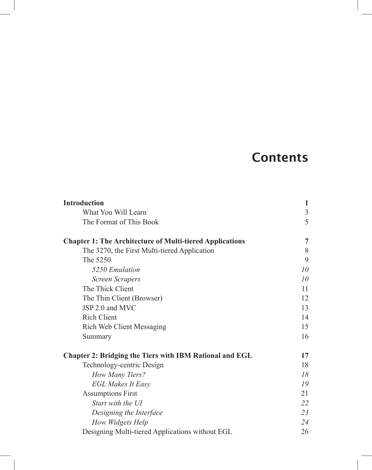## **Contents**

| <b>Introduction</b>                                             | 1  |
|-----------------------------------------------------------------|----|
| What You Will Learn                                             | 3  |
| The Format of This Book                                         | 5  |
| <b>Chapter 1: The Architecture of Multi-tiered Applications</b> | 7  |
| The 3270, the First Multi-tiered Application                    | 8  |
| The 5250                                                        | 9  |
| 5250 Emulation                                                  | 10 |
| Screen Scrapers                                                 | 10 |
| The Thick Client                                                | 11 |
| The Thin Client (Browser)                                       | 12 |
| JSP 2.0 and MVC                                                 | 13 |
| <b>Rich Client</b>                                              | 14 |
| <b>Rich Web Client Messaging</b>                                | 15 |
| Summary                                                         | 16 |
| <b>Chapter 2: Bridging the Tiers with IBM Rational and EGL</b>  | 17 |
| Technology-centric Design                                       | 18 |
| How Many Tiers?                                                 | 18 |
| <b>EGL Makes It Easy</b>                                        | 19 |
| <b>Assumptions First</b>                                        | 21 |
| Start with the UI                                               | 22 |
| Designing the Interface                                         | 23 |
| How Widgets Help                                                | 24 |
| Designing Multi-tiered Applications without EGL                 | 26 |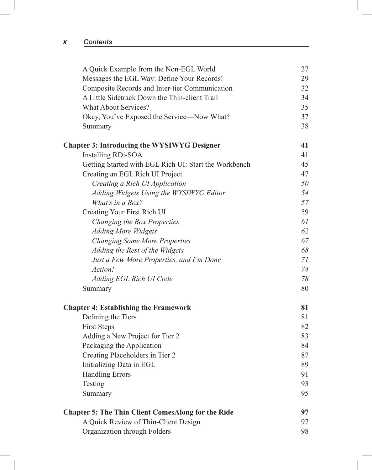| A Quick Example from the Non-EGL World                    | 27 |
|-----------------------------------------------------------|----|
| Messages the EGL Way: Define Your Records!                | 29 |
| Composite Records and Inter-tier Communication            | 32 |
| A Little Sidetrack Down the Thin-client Trail             | 34 |
| <b>What About Services?</b>                               | 35 |
| Okay, You've Exposed the Service—Now What?                | 37 |
| Summary                                                   | 38 |
| <b>Chapter 3: Introducing the WYSIWYG Designer</b>        | 41 |
| <b>Installing RDi-SOA</b>                                 | 41 |
| Getting Started with EGL Rich UI: Start the Workbench     | 45 |
| Creating an EGL Rich UI Project                           | 47 |
| Creating a Rich UI Application                            | 50 |
| Adding Widgets Using the WYSIWYG Editor                   | 54 |
| What's in a Box?                                          | 57 |
| Creating Your First Rich UI                               | 59 |
| Changing the Box Properties                               | 61 |
| <b>Adding More Widgets</b>                                | 62 |
| <b>Changing Some More Properties</b>                      | 67 |
| Adding the Rest of the Widgets                            | 68 |
| Just a Few More Properties, and I'm Done                  | 71 |
| Action!                                                   | 74 |
| Adding EGL Rich UI Code                                   | 78 |
| Summary                                                   | 80 |
| <b>Chapter 4: Establishing the Framework</b>              | 81 |
| Defining the Tiers                                        | 81 |
| <b>First Steps</b>                                        | 82 |
| Adding a New Project for Tier 2                           | 83 |
| Packaging the Application                                 | 84 |
| Creating Placeholders in Tier 2                           | 87 |
| Initializing Data in EGL                                  | 89 |
| <b>Handling Errors</b>                                    | 91 |
| Testing                                                   | 93 |
| Summary                                                   | 95 |
| <b>Chapter 5: The Thin Client ComesAlong for the Ride</b> | 97 |
| A Quick Review of Thin-Client Design                      | 97 |
| Organization through Folders                              | 98 |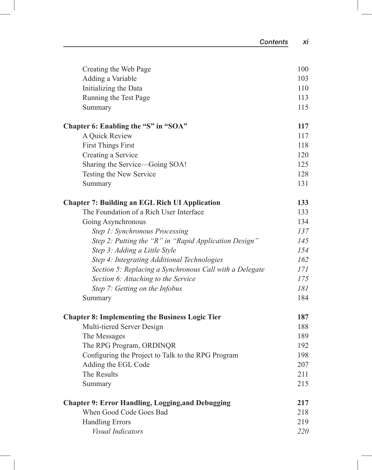| Creating the Web Page                                    | 100 |
|----------------------------------------------------------|-----|
| Adding a Variable                                        | 103 |
| Initializing the Data                                    | 110 |
| Running the Test Page                                    | 113 |
| Summary                                                  | 115 |
| Chapter 6: Enabling the "S" in "SOA"                     | 117 |
| A Quick Review                                           | 117 |
| <b>First Things First</b>                                | 118 |
| Creating a Service                                       | 120 |
| Sharing the Service—Going SOA!                           | 125 |
| Testing the New Service                                  | 128 |
| Summary                                                  | 131 |
| <b>Chapter 7: Building an EGL Rich UI Application</b>    | 133 |
| The Foundation of a Rich User Interface                  | 133 |
| Going Asynchronous                                       | 134 |
| Step 1: Synchronous Processing                           | 137 |
| Step 2: Putting the "R" in "Rapid Application Design"    | 145 |
| Step 3: Adding a Little Style                            | 154 |
| Step 4: Integrating Additional Technologies              | 162 |
| Section 5: Replacing a Synchronous Call with a Delegate  | 171 |
| Section 6: Attaching to the Service                      | 175 |
| Step 7: Getting on the Infobus                           | 181 |
| Summary                                                  | 184 |
| <b>Chapter 8: Implementing the Business Logic Tier</b>   | 187 |
| Multi-tiered Server Design                               | 188 |
| The Messages                                             | 189 |
| The RPG Program, ORDINQR                                 | 192 |
| Configuring the Project to Talk to the RPG Program       | 198 |
| Adding the EGL Code                                      | 207 |
| The Results                                              | 211 |
| Summary                                                  | 215 |
| <b>Chapter 9: Error Handling, Logging, and Debugging</b> | 217 |
| When Good Code Goes Bad                                  | 218 |
| <b>Handling Errors</b>                                   | 219 |
| Visual Indicators                                        | 220 |